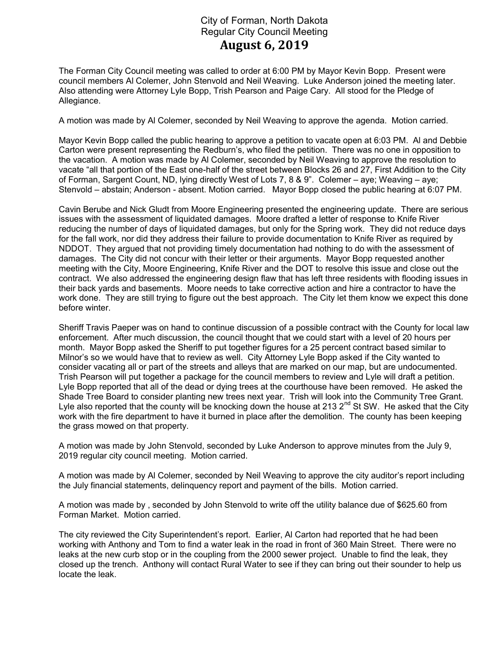## City of Forman, North Dakota Regular City Council Meeting August 6, 2019

The Forman City Council meeting was called to order at 6:00 PM by Mayor Kevin Bopp. Present were council members Al Colemer, John Stenvold and Neil Weaving. Luke Anderson joined the meeting later. Also attending were Attorney Lyle Bopp, Trish Pearson and Paige Cary. All stood for the Pledge of Allegiance.

A motion was made by Al Colemer, seconded by Neil Weaving to approve the agenda. Motion carried.

Mayor Kevin Bopp called the public hearing to approve a petition to vacate open at 6:03 PM. Al and Debbie Carton were present representing the Redburn's, who filed the petition. There was no one in opposition to the vacation. A motion was made by Al Colemer, seconded by Neil Weaving to approve the resolution to vacate "all that portion of the East one-half of the street between Blocks 26 and 27, First Addition to the City of Forman, Sargent Count, ND, lying directly West of Lots 7, 8 & 9". Colemer – aye; Weaving – aye; Stenvold – abstain; Anderson - absent. Motion carried. Mayor Bopp closed the public hearing at 6:07 PM.

Cavin Berube and Nick Gludt from Moore Engineering presented the engineering update. There are serious issues with the assessment of liquidated damages. Moore drafted a letter of response to Knife River reducing the number of days of liquidated damages, but only for the Spring work. They did not reduce days for the fall work, nor did they address their failure to provide documentation to Knife River as required by NDDOT. They argued that not providing timely documentation had nothing to do with the assessment of damages. The City did not concur with their letter or their arguments. Mayor Bopp requested another meeting with the City, Moore Engineering, Knife River and the DOT to resolve this issue and close out the contract. We also addressed the engineering design flaw that has left three residents with flooding issues in their back yards and basements. Moore needs to take corrective action and hire a contractor to have the work done. They are still trying to figure out the best approach. The City let them know we expect this done before winter.

Sheriff Travis Paeper was on hand to continue discussion of a possible contract with the County for local law enforcement. After much discussion, the council thought that we could start with a level of 20 hours per month. Mayor Bopp asked the Sheriff to put together figures for a 25 percent contract based similar to Milnor's so we would have that to review as well. City Attorney Lyle Bopp asked if the City wanted to consider vacating all or part of the streets and alleys that are marked on our map, but are undocumented. Trish Pearson will put together a package for the council members to review and Lyle will draft a petition. Lyle Bopp reported that all of the dead or dying trees at the courthouse have been removed. He asked the Shade Tree Board to consider planting new trees next year. Trish will look into the Community Tree Grant. Lyle also reported that the county will be knocking down the house at 213  $2^{nd}$  St SW. He asked that the City work with the fire department to have it burned in place after the demolition. The county has been keeping the grass mowed on that property.

A motion was made by John Stenvold, seconded by Luke Anderson to approve minutes from the July 9, 2019 regular city council meeting. Motion carried.

A motion was made by Al Colemer, seconded by Neil Weaving to approve the city auditor's report including the July financial statements, delinquency report and payment of the bills. Motion carried.

A motion was made by , seconded by John Stenvold to write off the utility balance due of \$625.60 from Forman Market. Motion carried.

The city reviewed the City Superintendent's report. Earlier, Al Carton had reported that he had been working with Anthony and Tom to find a water leak in the road in front of 360 Main Street. There were no leaks at the new curb stop or in the coupling from the 2000 sewer project. Unable to find the leak, they closed up the trench. Anthony will contact Rural Water to see if they can bring out their sounder to help us locate the leak.